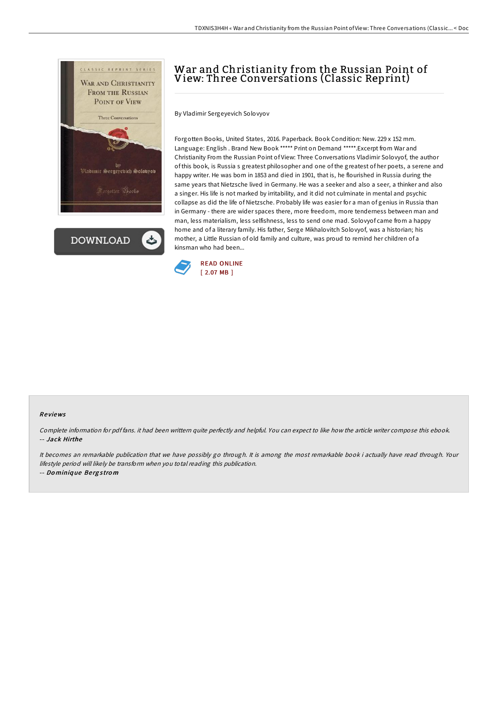

**DOWNLOAD** 

# War and Christianity from the Russian Point of View: Three Conversations (Classic Reprint)

By Vladimir Sergeyevich Solovyov

Forgotten Books, United States, 2016. Paperback. Book Condition: New. 229 x 152 mm. Language: English . Brand New Book \*\*\*\*\* Print on Demand \*\*\*\*\*.Excerpt from War and Christianity From the Russian Point of View: Three Conversations Vladimir Solovyof, the author of this book, is Russia s greatest philosopher and one of the greatest of her poets, a serene and happy writer. He was bom in 1853 and died in 1901, that is, he flourished in Russia during the same years that Nietzsche lived in Germany. He was a seeker and also a seer, a thinker and also a singer. His life is not marked by irritability, and it did not culminate in mental and psychic collapse as did the life of Nietzsche. Probably life was easier for a man of genius in Russia than in Germany - there are wider spaces there, more freedom, more tenderness between man and man, less materialism, less selfishness, less to send one mad. Solovyof came from a happy home and of a literary family. His father, Serge Mikhalovitch Solovyof, was a historian; his mother, a Little Russian of old family and culture, was proud to remind her children of a kinsman who had been...



#### Re views

Complete information for pdf fans. it had been writtern quite perfectly and helpful. You can expect to like how the article writer compose this ebook. -- Jack Hirthe

It becomes an remarkable publication that we have possibly go through. It is among the most remarkable book i actually have read through. Your lifestyle period will likely be transform when you total reading this publication.

-- Do miniq ue Be rg <sup>s</sup> tro <sup>m</sup>